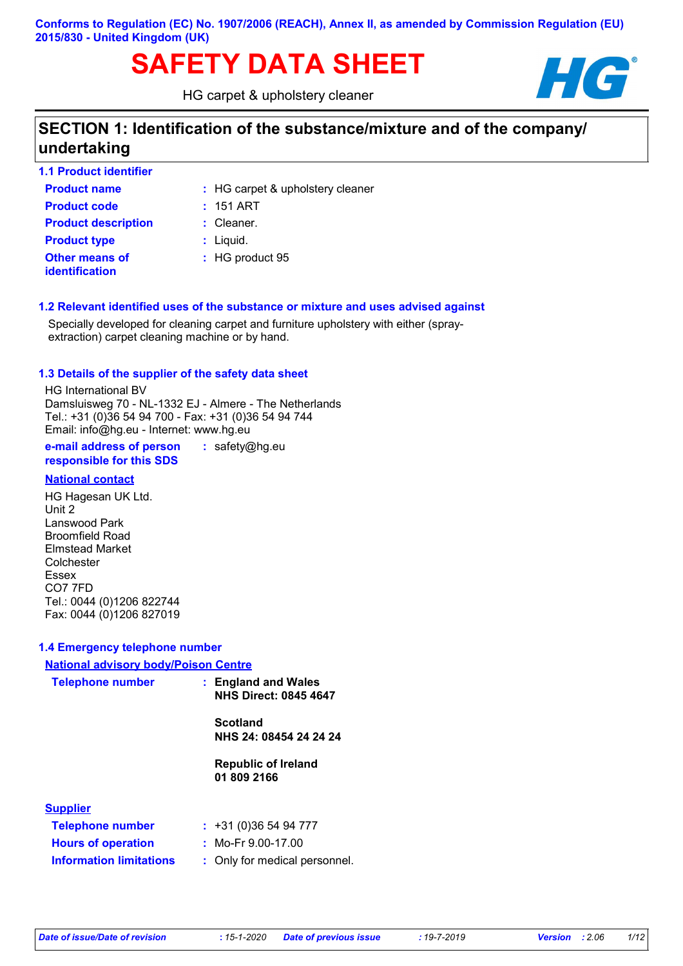# SAFETY DATA SHEET **HG**

HG carpet & upholstery cleaner



# **SECTION 1: Identification of the substance/mixture and of the company/ undertaking**

| <b>1.1 Product identifier</b>                  |                                  |
|------------------------------------------------|----------------------------------|
| <b>Product name</b>                            | : HG carpet & upholstery cleaner |
| <b>Product code</b>                            | $: 151$ ART                      |
| <b>Product description</b>                     | : Cleaner.                       |
| <b>Product type</b>                            | $:$ Liquid.                      |
| <b>Other means of</b><br><b>identification</b> | : HG product 95                  |

#### **1.2 Relevant identified uses of the substance or mixture and uses advised against**

Specially developed for cleaning carpet and furniture upholstery with either (sprayextraction) carpet cleaning machine or by hand.

#### **1.3 Details of the supplier of the safety data sheet**

HG International BV Damsluisweg 70 - NL-1332 EJ - Almere - The Netherlands Tel.: +31 (0)36 54 94 700 - Fax: +31 (0)36 54 94 744 Email: info@hg.eu - Internet: www.hg.eu

**e-mail address of person responsible for this SDS :** safety@hg.eu

#### **National contact**

HG Hagesan UK Ltd. Unit 2 Lanswood Park Broomfield Road Elmstead Market Colchester Essex CO7 7FD Tel.: 0044 (0)1206 822744 Fax: 0044 (0)1206 827019

#### **1.4 Emergency telephone number**

#### **National advisory body/Poison Centre**

| <b>Telephone number</b>        | : England and Wales<br><b>NHS Direct: 0845 4647</b> |
|--------------------------------|-----------------------------------------------------|
|                                | <b>Scotland</b><br>NHS 24: 08454 24 24 24           |
|                                | <b>Republic of Ireland</b><br>01 809 2166           |
| <b>Supplier</b>                |                                                     |
| <b>Telephone number</b>        | $: +31(0)365494777$                                 |
| <b>Hours of operation</b>      | : Mo-Fr $9.00-17.00$                                |
| <b>Information limitations</b> | : Only for medical personnel.                       |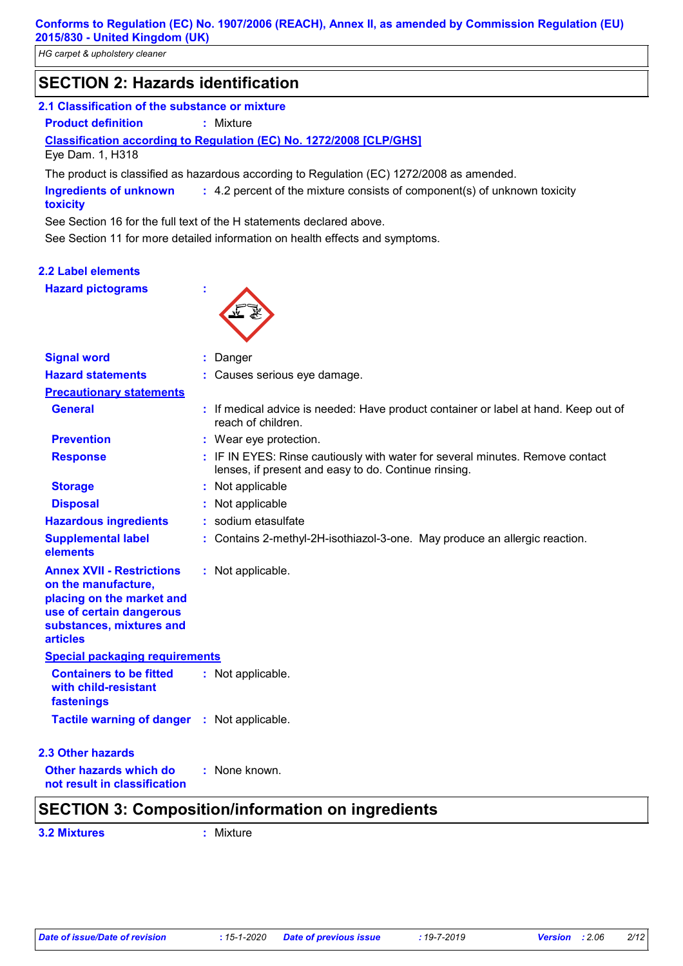*HG carpet & upholstery cleaner*

# **SECTION 2: Hazards identification**

#### **2.1 Classification of the substance or mixture**

**Product definition :** Mixture

#### **Classification according to Regulation (EC) No. 1272/2008 [CLP/GHS]**

Eye Dam. 1, H318

The product is classified as hazardous according to Regulation (EC) 1272/2008 as amended.

4.2 percent of the mixture consists of component(s) of unknown toxicity **: Ingredients of unknown toxicity**

See Section 16 for the full text of the H statements declared above.

See Section 11 for more detailed information on health effects and symptoms.

#### **2.2 Label elements Hazard pictograms :**



| <b>Signal word</b>                                                                                                                                              | Danger                                                                                                                                |
|-----------------------------------------------------------------------------------------------------------------------------------------------------------------|---------------------------------------------------------------------------------------------------------------------------------------|
| <b>Hazard statements</b>                                                                                                                                        | : Causes serious eye damage.                                                                                                          |
| <b>Precautionary statements</b>                                                                                                                                 |                                                                                                                                       |
| <b>General</b>                                                                                                                                                  | : If medical advice is needed: Have product container or label at hand. Keep out of<br>reach of children.                             |
| <b>Prevention</b>                                                                                                                                               | : Wear eye protection.                                                                                                                |
| <b>Response</b>                                                                                                                                                 | : IF IN EYES: Rinse cautiously with water for several minutes. Remove contact<br>lenses, if present and easy to do. Continue rinsing. |
| <b>Storage</b>                                                                                                                                                  | : Not applicable                                                                                                                      |
| <b>Disposal</b>                                                                                                                                                 | : Not applicable                                                                                                                      |
| <b>Hazardous ingredients</b>                                                                                                                                    | : sodium etasulfate                                                                                                                   |
| <b>Supplemental label</b><br>elements                                                                                                                           | : Contains 2-methyl-2H-isothiazol-3-one. May produce an allergic reaction.                                                            |
| <b>Annex XVII - Restrictions</b><br>on the manufacture,<br>placing on the market and<br>use of certain dangerous<br>substances, mixtures and<br><b>articles</b> | : Not applicable.                                                                                                                     |
| <b>Special packaging requirements</b>                                                                                                                           |                                                                                                                                       |
| <b>Containers to be fitted</b><br>with child-resistant<br>fastenings                                                                                            | : Not applicable.                                                                                                                     |
| Tactile warning of danger : Not applicable.                                                                                                                     |                                                                                                                                       |
| <b>2.3 Other hazards</b>                                                                                                                                        |                                                                                                                                       |
| Other hazards which do<br>not result in classification                                                                                                          | : None known.                                                                                                                         |
|                                                                                                                                                                 | <b>SECTION 3: Composition/information on ingredients</b>                                                                              |
|                                                                                                                                                                 |                                                                                                                                       |

**3.2 Mixtures :** Mixture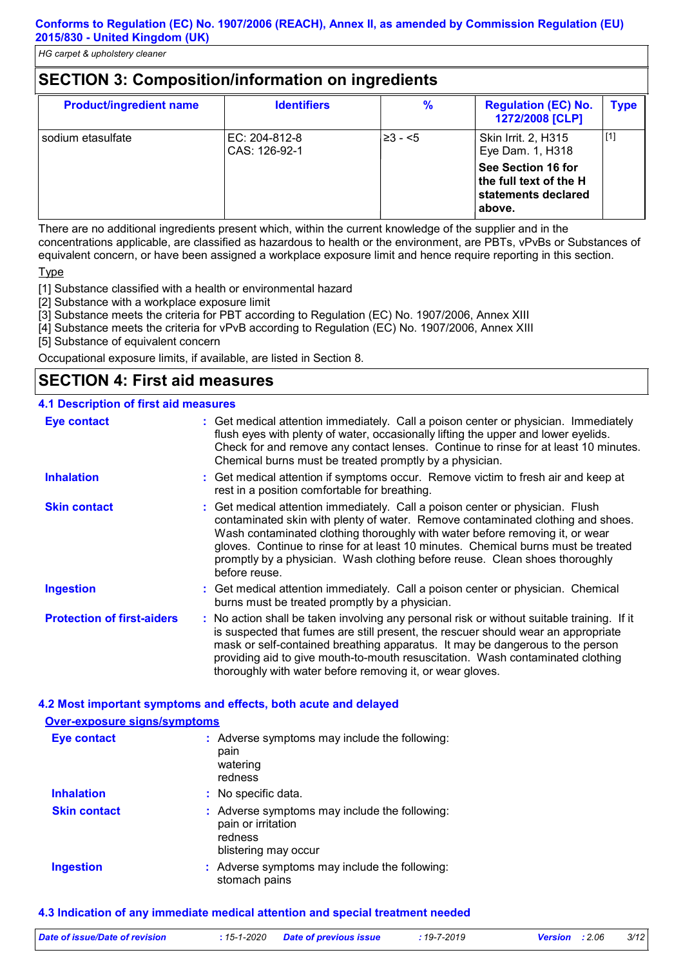# **SECTION 3: Composition/information on ingredients**

| <b>Product/ingredient name</b> | <b>Identifiers</b>             | $\frac{9}{6}$ | <b>Regulation (EC) No.</b><br>1272/2008 [CLP]                                         | <b>Type</b> |
|--------------------------------|--------------------------------|---------------|---------------------------------------------------------------------------------------|-------------|
| sodium etasulfate              | EC: 204-812-8<br>CAS: 126-92-1 | $≥3 - 5$      | Skin Irrit. 2, H315<br>Eye Dam. 1, H318                                               | $[1]$       |
|                                |                                |               | See Section 16 for<br>$\vert$ the full text of the H<br>statements declared<br>above. |             |

There are no additional ingredients present which, within the current knowledge of the supplier and in the concentrations applicable, are classified as hazardous to health or the environment, are PBTs, vPvBs or Substances of equivalent concern, or have been assigned a workplace exposure limit and hence require reporting in this section.

#### Type

[1] Substance classified with a health or environmental hazard

[2] Substance with a workplace exposure limit

[3] Substance meets the criteria for PBT according to Regulation (EC) No. 1907/2006, Annex XIII

[4] Substance meets the criteria for vPvB according to Regulation (EC) No. 1907/2006, Annex XIII

[5] Substance of equivalent concern

Occupational exposure limits, if available, are listed in Section 8.

# **SECTION 4: First aid measures**

#### **4.1 Description of first aid measures**

| <b>Eye contact</b>                | : Get medical attention immediately. Call a poison center or physician. Immediately<br>flush eyes with plenty of water, occasionally lifting the upper and lower eyelids.<br>Check for and remove any contact lenses. Continue to rinse for at least 10 minutes.<br>Chemical burns must be treated promptly by a physician.                                                                                                           |
|-----------------------------------|---------------------------------------------------------------------------------------------------------------------------------------------------------------------------------------------------------------------------------------------------------------------------------------------------------------------------------------------------------------------------------------------------------------------------------------|
| <b>Inhalation</b>                 | : Get medical attention if symptoms occur. Remove victim to fresh air and keep at<br>rest in a position comfortable for breathing.                                                                                                                                                                                                                                                                                                    |
| <b>Skin contact</b>               | : Get medical attention immediately. Call a poison center or physician. Flush<br>contaminated skin with plenty of water. Remove contaminated clothing and shoes.<br>Wash contaminated clothing thoroughly with water before removing it, or wear<br>gloves. Continue to rinse for at least 10 minutes. Chemical burns must be treated<br>promptly by a physician. Wash clothing before reuse. Clean shoes thoroughly<br>before reuse. |
| <b>Ingestion</b>                  | : Get medical attention immediately. Call a poison center or physician. Chemical<br>burns must be treated promptly by a physician.                                                                                                                                                                                                                                                                                                    |
| <b>Protection of first-aiders</b> | : No action shall be taken involving any personal risk or without suitable training. If it<br>is suspected that fumes are still present, the rescuer should wear an appropriate<br>mask or self-contained breathing apparatus. It may be dangerous to the person<br>providing aid to give mouth-to-mouth resuscitation. Wash contaminated clothing<br>thoroughly with water before removing it, or wear gloves.                       |

#### **4.2 Most important symptoms and effects, both acute and delayed**

| <b>Over-exposure signs/symptoms</b> |                                                                                                        |
|-------------------------------------|--------------------------------------------------------------------------------------------------------|
| <b>Eye contact</b>                  | : Adverse symptoms may include the following:<br>pain<br>watering<br>redness                           |
| <b>Inhalation</b>                   | : No specific data.                                                                                    |
| <b>Skin contact</b>                 | : Adverse symptoms may include the following:<br>pain or irritation<br>redness<br>blistering may occur |
| <b>Ingestion</b>                    | : Adverse symptoms may include the following:<br>stomach pains                                         |

#### **4.3 Indication of any immediate medical attention and special treatment needed**

| Date of issue/Date of revision | : 15-1-2020 Date of previous issue | : 19-7-2019 | <b>Version</b> : 2.06 | 3/12 |
|--------------------------------|------------------------------------|-------------|-----------------------|------|
|                                |                                    |             |                       |      |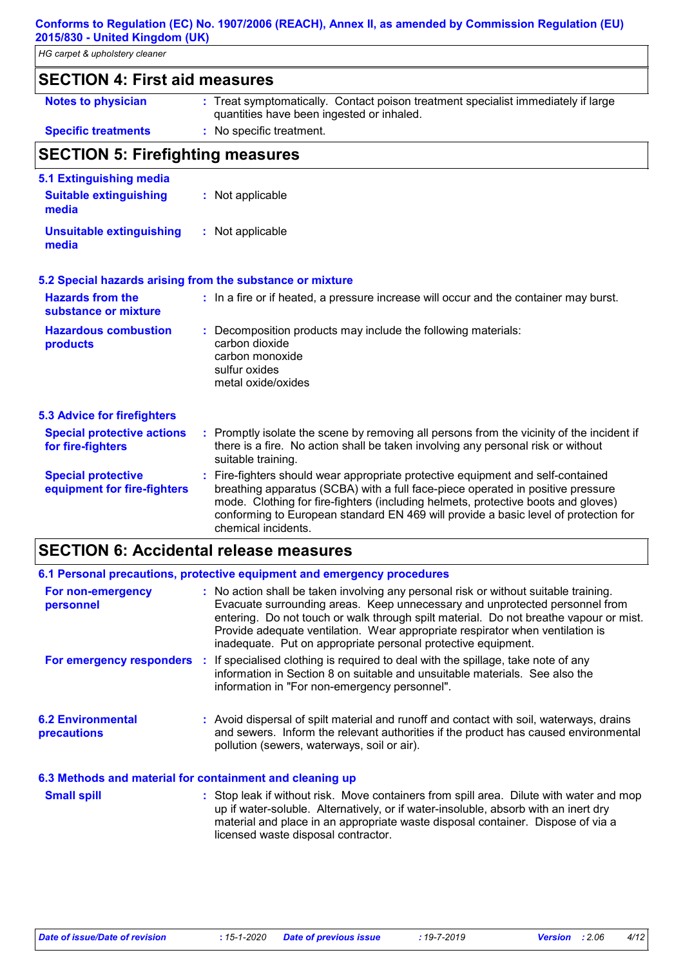| HG carpet & upholstery cleaner                                    |                                                                                                                                                                                                                                                                                                                                                                     |  |  |
|-------------------------------------------------------------------|---------------------------------------------------------------------------------------------------------------------------------------------------------------------------------------------------------------------------------------------------------------------------------------------------------------------------------------------------------------------|--|--|
| <b>SECTION 4: First aid measures</b>                              |                                                                                                                                                                                                                                                                                                                                                                     |  |  |
| <b>Notes to physician</b>                                         | : Treat symptomatically. Contact poison treatment specialist immediately if large<br>quantities have been ingested or inhaled.                                                                                                                                                                                                                                      |  |  |
| <b>Specific treatments</b>                                        | : No specific treatment.                                                                                                                                                                                                                                                                                                                                            |  |  |
| <b>SECTION 5: Firefighting measures</b>                           |                                                                                                                                                                                                                                                                                                                                                                     |  |  |
| 5.1 Extinguishing media<br><b>Suitable extinguishing</b><br>media | : Not applicable                                                                                                                                                                                                                                                                                                                                                    |  |  |
| <b>Unsuitable extinguishing</b><br>media                          | : Not applicable                                                                                                                                                                                                                                                                                                                                                    |  |  |
|                                                                   | 5.2 Special hazards arising from the substance or mixture                                                                                                                                                                                                                                                                                                           |  |  |
| <b>Hazards from the</b><br>substance or mixture                   | : In a fire or if heated, a pressure increase will occur and the container may burst.                                                                                                                                                                                                                                                                               |  |  |
| <b>Hazardous combustion</b><br>products                           | Decomposition products may include the following materials:<br>carbon dioxide<br>carbon monoxide<br>sulfur oxides<br>metal oxide/oxides                                                                                                                                                                                                                             |  |  |
| <b>5.3 Advice for firefighters</b>                                |                                                                                                                                                                                                                                                                                                                                                                     |  |  |
| <b>Special protective actions</b><br>for fire-fighters            | Promptly isolate the scene by removing all persons from the vicinity of the incident if<br>÷.<br>there is a fire. No action shall be taken involving any personal risk or without<br>suitable training.                                                                                                                                                             |  |  |
| <b>Special protective</b><br>equipment for fire-fighters          | Fire-fighters should wear appropriate protective equipment and self-contained<br>breathing apparatus (SCBA) with a full face-piece operated in positive pressure<br>mode. Clothing for fire-fighters (including helmets, protective boots and gloves)<br>conforming to European standard EN 469 will provide a basic level of protection for<br>chemical incidents. |  |  |

# **SECTION 6: Accidental release measures**

|                                                          | 6.1 Personal precautions, protective equipment and emergency procedures                                                                                                                                                                                                                                                                                                                                        |
|----------------------------------------------------------|----------------------------------------------------------------------------------------------------------------------------------------------------------------------------------------------------------------------------------------------------------------------------------------------------------------------------------------------------------------------------------------------------------------|
| For non-emergency<br>personnel                           | : No action shall be taken involving any personal risk or without suitable training.<br>Evacuate surrounding areas. Keep unnecessary and unprotected personnel from<br>entering. Do not touch or walk through spilt material. Do not breathe vapour or mist.<br>Provide adequate ventilation. Wear appropriate respirator when ventilation is<br>inadequate. Put on appropriate personal protective equipment. |
|                                                          | For emergency responders : If specialised clothing is required to deal with the spillage, take note of any<br>information in Section 8 on suitable and unsuitable materials. See also the<br>information in "For non-emergency personnel".                                                                                                                                                                     |
| <b>6.2 Environmental</b><br>precautions                  | : Avoid dispersal of spilt material and runoff and contact with soil, waterways, drains<br>and sewers. Inform the relevant authorities if the product has caused environmental<br>pollution (sewers, waterways, soil or air).                                                                                                                                                                                  |
| 6.3 Methods and material for containment and cleaning up |                                                                                                                                                                                                                                                                                                                                                                                                                |
| <b>Small spill</b>                                       | : Stop leak if without risk. Move containers from spill area. Dilute with water and mop<br>in it under solidation of the model of the second production of the second the second drugs and the second dru                                                                                                                                                                                                      |

up if water-soluble. Alternatively, or if water-insoluble, absorb with an inert dry material and place in an appropriate waste disposal container. Dispose of via a licensed waste disposal contractor.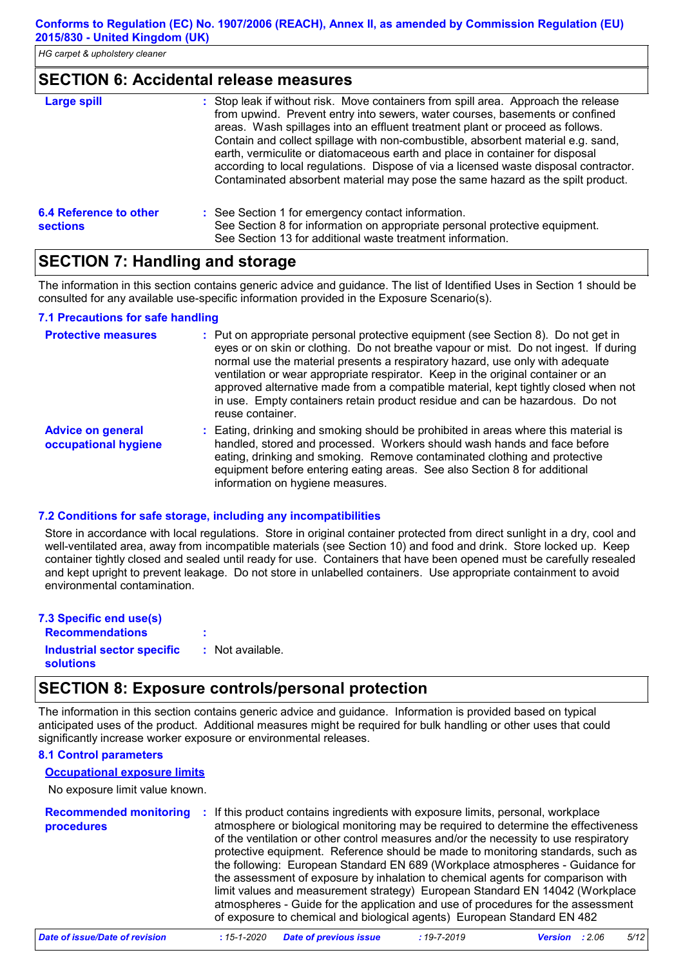#### **SECTION 6: Accidental release measures**

| <b>Large spill</b>                        | : Stop leak if without risk. Move containers from spill area. Approach the release<br>from upwind. Prevent entry into sewers, water courses, basements or confined<br>areas. Wash spillages into an effluent treatment plant or proceed as follows.<br>Contain and collect spillage with non-combustible, absorbent material e.g. sand,<br>earth, vermiculite or diatomaceous earth and place in container for disposal<br>according to local regulations. Dispose of via a licensed waste disposal contractor.<br>Contaminated absorbent material may pose the same hazard as the spilt product. |
|-------------------------------------------|---------------------------------------------------------------------------------------------------------------------------------------------------------------------------------------------------------------------------------------------------------------------------------------------------------------------------------------------------------------------------------------------------------------------------------------------------------------------------------------------------------------------------------------------------------------------------------------------------|
| 6.4 Reference to other<br><b>sections</b> | : See Section 1 for emergency contact information.<br>See Section 8 for information on appropriate personal protective equipment.<br>See Section 13 for additional waste treatment information.                                                                                                                                                                                                                                                                                                                                                                                                   |

# **SECTION 7: Handling and storage**

The information in this section contains generic advice and guidance. The list of Identified Uses in Section 1 should be consulted for any available use-specific information provided in the Exposure Scenario(s).

#### **7.1 Precautions for safe handling**

| <b>Protective measures</b>                       | : Put on appropriate personal protective equipment (see Section 8). Do not get in<br>eyes or on skin or clothing. Do not breathe vapour or mist. Do not ingest. If during<br>normal use the material presents a respiratory hazard, use only with adequate<br>ventilation or wear appropriate respirator. Keep in the original container or an<br>approved alternative made from a compatible material, kept tightly closed when not<br>in use. Empty containers retain product residue and can be hazardous. Do not<br>reuse container. |
|--------------------------------------------------|------------------------------------------------------------------------------------------------------------------------------------------------------------------------------------------------------------------------------------------------------------------------------------------------------------------------------------------------------------------------------------------------------------------------------------------------------------------------------------------------------------------------------------------|
| <b>Advice on general</b><br>occupational hygiene | : Eating, drinking and smoking should be prohibited in areas where this material is<br>handled, stored and processed. Workers should wash hands and face before<br>eating, drinking and smoking. Remove contaminated clothing and protective<br>equipment before entering eating areas. See also Section 8 for additional<br>information on hygiene measures.                                                                                                                                                                            |

#### **7.2 Conditions for safe storage, including any incompatibilities**

Store in accordance with local regulations. Store in original container protected from direct sunlight in a dry, cool and well-ventilated area, away from incompatible materials (see Section 10) and food and drink. Store locked up. Keep container tightly closed and sealed until ready for use. Containers that have been opened must be carefully resealed and kept upright to prevent leakage. Do not store in unlabelled containers. Use appropriate containment to avoid environmental contamination.

| 7.3 Specific end use(s)                        |                  |
|------------------------------------------------|------------------|
| <b>Recommendations</b>                         | ٠                |
| Industrial sector specific<br><b>solutions</b> | : Not available. |

# **SECTION 8: Exposure controls/personal protection**

The information in this section contains generic advice and guidance. Information is provided based on typical anticipated uses of the product. Additional measures might be required for bulk handling or other uses that could significantly increase worker exposure or environmental releases.

#### **8.1 Control parameters**

#### **Occupational exposure limits**

No exposure limit value known.

| <b>Recommended monitoring</b><br><b>procedures</b> | : If this product contains ingredients with exposure limits, personal, workplace<br>atmosphere or biological monitoring may be required to determine the effectiveness<br>of the ventilation or other control measures and/or the necessity to use respiratory<br>protective equipment. Reference should be made to monitoring standards, such as<br>the following: European Standard EN 689 (Workplace atmospheres - Guidance for<br>the assessment of exposure by inhalation to chemical agents for comparison with<br>limit values and measurement strategy) European Standard EN 14042 (Workplace<br>atmospheres - Guide for the application and use of procedures for the assessment<br>of exposure to chemical and biological agents) European Standard EN 482 |
|----------------------------------------------------|----------------------------------------------------------------------------------------------------------------------------------------------------------------------------------------------------------------------------------------------------------------------------------------------------------------------------------------------------------------------------------------------------------------------------------------------------------------------------------------------------------------------------------------------------------------------------------------------------------------------------------------------------------------------------------------------------------------------------------------------------------------------|
|----------------------------------------------------|----------------------------------------------------------------------------------------------------------------------------------------------------------------------------------------------------------------------------------------------------------------------------------------------------------------------------------------------------------------------------------------------------------------------------------------------------------------------------------------------------------------------------------------------------------------------------------------------------------------------------------------------------------------------------------------------------------------------------------------------------------------------|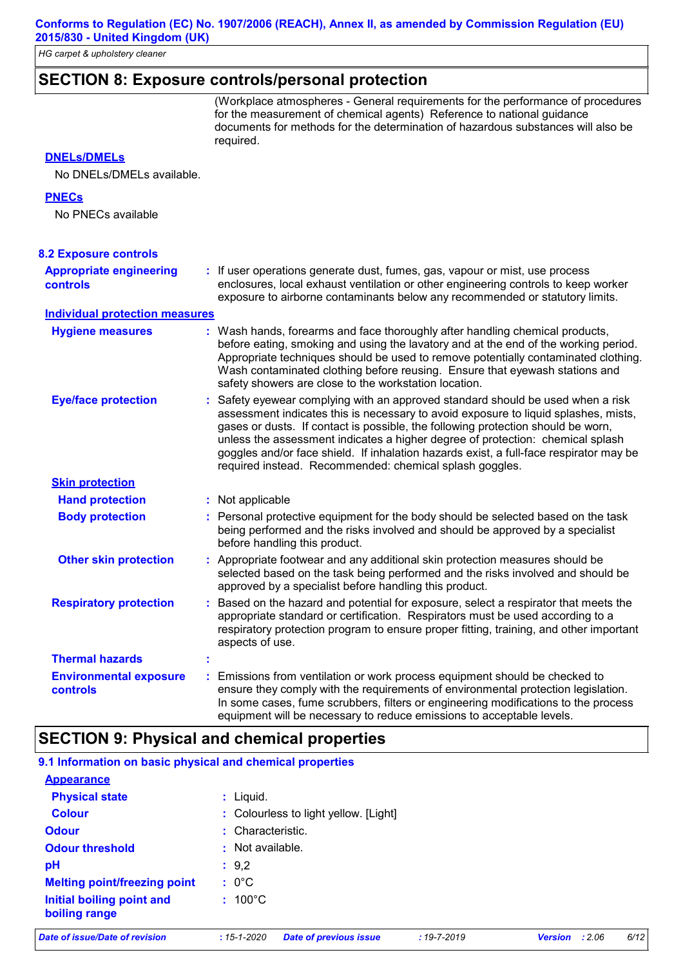*HG carpet & upholstery cleaner*

# **SECTION 8: Exposure controls/personal protection**

(Workplace atmospheres - General requirements for the performance of procedures for the measurement of chemical agents) Reference to national guidance documents for methods for the determination of hazardous substances will also be required.

#### **DNELs/DMELs**

No DNELs/DMELs available.

#### **PNECs**

No PNECs available

| <b>8.2 Exposure controls</b>               |                                                                                                                                                                                                                                                                                                                                                                                                                                                                                                   |
|--------------------------------------------|---------------------------------------------------------------------------------------------------------------------------------------------------------------------------------------------------------------------------------------------------------------------------------------------------------------------------------------------------------------------------------------------------------------------------------------------------------------------------------------------------|
| <b>Appropriate engineering</b><br>controls | : If user operations generate dust, fumes, gas, vapour or mist, use process<br>enclosures, local exhaust ventilation or other engineering controls to keep worker<br>exposure to airborne contaminants below any recommended or statutory limits.                                                                                                                                                                                                                                                 |
| <b>Individual protection measures</b>      |                                                                                                                                                                                                                                                                                                                                                                                                                                                                                                   |
| <b>Hygiene measures</b>                    | : Wash hands, forearms and face thoroughly after handling chemical products,<br>before eating, smoking and using the lavatory and at the end of the working period.<br>Appropriate techniques should be used to remove potentially contaminated clothing.<br>Wash contaminated clothing before reusing. Ensure that eyewash stations and<br>safety showers are close to the workstation location.                                                                                                 |
| <b>Eye/face protection</b>                 | : Safety eyewear complying with an approved standard should be used when a risk<br>assessment indicates this is necessary to avoid exposure to liquid splashes, mists,<br>gases or dusts. If contact is possible, the following protection should be worn,<br>unless the assessment indicates a higher degree of protection: chemical splash<br>goggles and/or face shield. If inhalation hazards exist, a full-face respirator may be<br>required instead. Recommended: chemical splash goggles. |
| <b>Skin protection</b>                     |                                                                                                                                                                                                                                                                                                                                                                                                                                                                                                   |
| <b>Hand protection</b>                     | : Not applicable                                                                                                                                                                                                                                                                                                                                                                                                                                                                                  |
| <b>Body protection</b>                     | : Personal protective equipment for the body should be selected based on the task<br>being performed and the risks involved and should be approved by a specialist<br>before handling this product.                                                                                                                                                                                                                                                                                               |
| <b>Other skin protection</b>               | : Appropriate footwear and any additional skin protection measures should be<br>selected based on the task being performed and the risks involved and should be<br>approved by a specialist before handling this product.                                                                                                                                                                                                                                                                         |
| <b>Respiratory protection</b>              | : Based on the hazard and potential for exposure, select a respirator that meets the<br>appropriate standard or certification. Respirators must be used according to a<br>respiratory protection program to ensure proper fitting, training, and other important<br>aspects of use.                                                                                                                                                                                                               |
| <b>Thermal hazards</b>                     |                                                                                                                                                                                                                                                                                                                                                                                                                                                                                                   |
| <b>Environmental exposure</b><br>controls  | Emissions from ventilation or work process equipment should be checked to<br>ensure they comply with the requirements of environmental protection legislation.<br>In some cases, fume scrubbers, filters or engineering modifications to the process<br>equipment will be necessary to reduce emissions to acceptable levels.                                                                                                                                                                     |

### **SECTION 9: Physical and chemical properties**

| 9.1 Information on basic physical and chemical properties |                                       |
|-----------------------------------------------------------|---------------------------------------|
| <b>Appearance</b>                                         |                                       |
| <b>Physical state</b>                                     | $:$ Liquid.                           |
| <b>Colour</b>                                             | : Colourless to light yellow. [Light] |
| <b>Odour</b>                                              | : Characteristic.                     |
| <b>Odour threshold</b>                                    | : Not available.                      |
| рH                                                        | : 9,2                                 |
| <b>Melting point/freezing point</b>                       | $: 0^{\circ}$ C                       |
| Initial boiling point and<br>boiling range                | $: 100^{\circ}$ C                     |

*Date of issue/Date of revision* **:** *15-1-2020 Date of previous issue : 19-7-2019 Version : 2.06 6/12*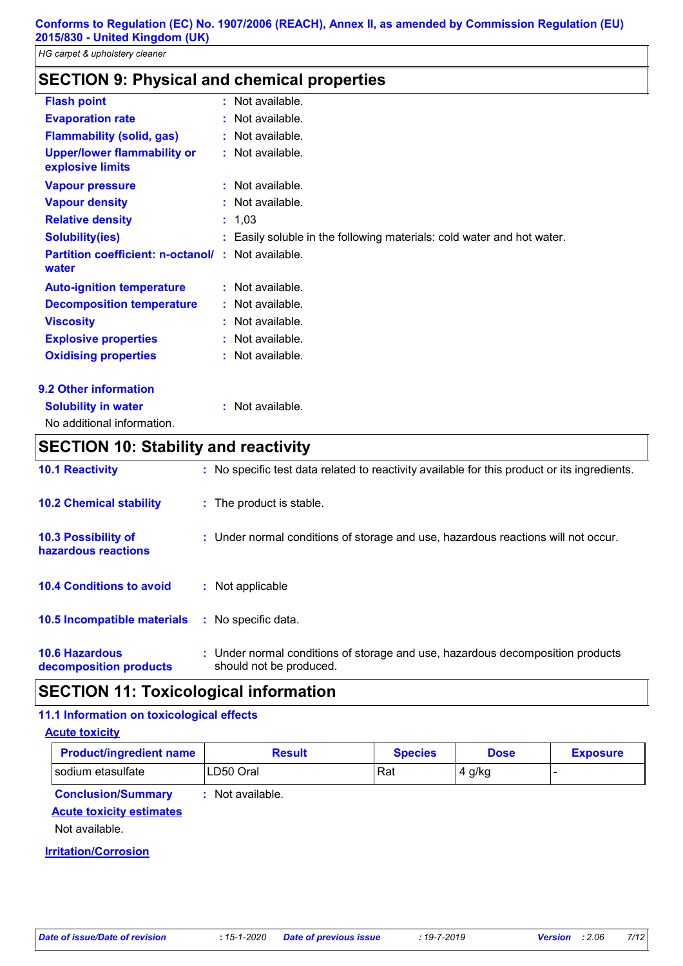# **SECTION 9: Physical and chemical properties**

| <b>Flash point</b>                                     |    | $:$ Not available.                                                     |
|--------------------------------------------------------|----|------------------------------------------------------------------------|
| <b>Evaporation rate</b>                                |    | : Not available.                                                       |
| <b>Flammability (solid, gas)</b>                       |    | : Not available.                                                       |
| <b>Upper/lower flammability or</b><br>explosive limits |    | : Not available.                                                       |
| <b>Vapour pressure</b>                                 |    | : Not available.                                                       |
| <b>Vapour density</b>                                  |    | : Not available.                                                       |
| <b>Relative density</b>                                |    | : 1,03                                                                 |
| <b>Solubility(ies)</b>                                 |    | : Easily soluble in the following materials: cold water and hot water. |
| <b>Partition coefficient: n-octanol/</b><br>water      | ÷. | Not available.                                                         |
| <b>Auto-ignition temperature</b>                       |    | : Not available.                                                       |
| <b>Decomposition temperature</b>                       |    | : Not available.                                                       |
| <b>Viscosity</b>                                       |    | : Not available.                                                       |
| <b>Explosive properties</b>                            |    | : Not available.                                                       |
| <b>Oxidising properties</b>                            |    | : Not available.                                                       |
| <b>9.2 Other information</b>                           |    |                                                                        |

**:** Not available.

|--|

No additional information.

# **SECTION 10: Stability and reactivity**

| <b>10.1 Reactivity</b>                            | : No specific test data related to reactivity available for this product or its ingredients.              |
|---------------------------------------------------|-----------------------------------------------------------------------------------------------------------|
| <b>10.2 Chemical stability</b>                    | : The product is stable.                                                                                  |
| <b>10.3 Possibility of</b><br>hazardous reactions | : Under normal conditions of storage and use, hazardous reactions will not occur.                         |
| <b>10.4 Conditions to avoid</b>                   | Not applicable                                                                                            |
| <b>10.5 Incompatible materials</b>                | : No specific data.                                                                                       |
| <b>10.6 Hazardous</b><br>decomposition products   | : Under normal conditions of storage and use, hazardous decomposition products<br>should not be produced. |

# **SECTION 11: Toxicological information**

#### **11.1 Information on toxicological effects**

#### **Acute toxicity**

| <b>Product/ingredient name</b> | Result    | Species | Dose | <b>Exposure</b> |
|--------------------------------|-----------|---------|------|-----------------|
| sodium etasulfate              | LD50 Oral | Rat     | g/kg |                 |

**Conclusion/Summary :** Not available.

#### **Acute toxicity estimates**

Not available.

#### **Irritation/Corrosion**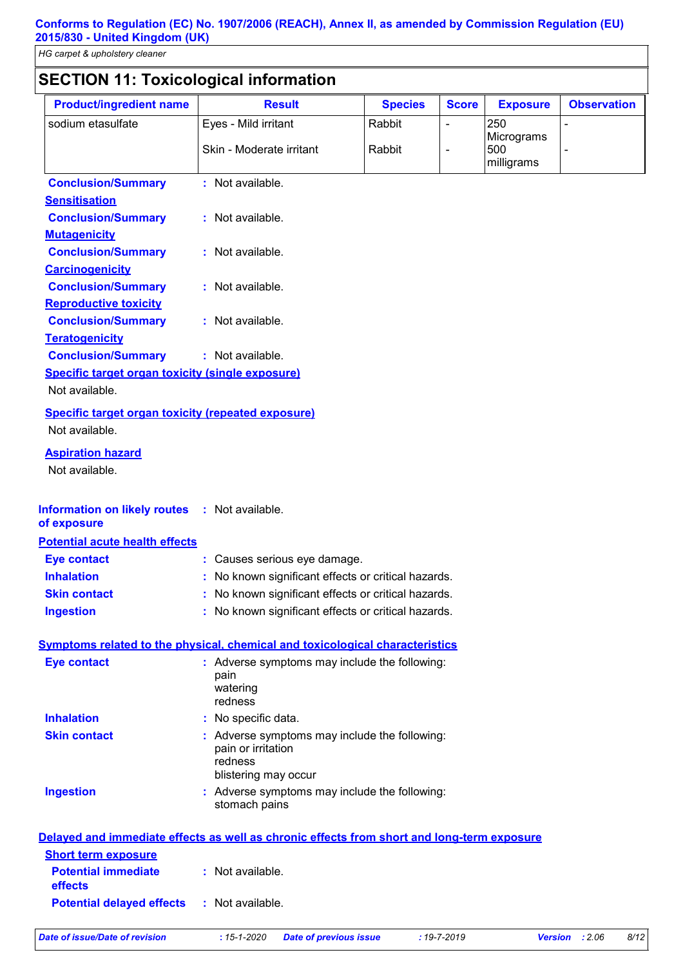# **SECTION 11: Toxicological information**

| <b>Product/ingredient name</b>                                                             | <b>Result</b>                                                                                          | <b>Species</b>                | <b>Score</b>                 | <b>Exposure</b>                 | <b>Observation</b>     |
|--------------------------------------------------------------------------------------------|--------------------------------------------------------------------------------------------------------|-------------------------------|------------------------------|---------------------------------|------------------------|
| sodium etasulfate                                                                          | Eyes - Mild irritant                                                                                   | Rabbit                        | $\qquad \qquad \blacksquare$ | 250                             |                        |
|                                                                                            | Skin - Moderate irritant                                                                               | Rabbit                        | $\overline{a}$               | Micrograms<br>500<br>milligrams |                        |
| <b>Conclusion/Summary</b>                                                                  | : Not available.                                                                                       |                               |                              |                                 |                        |
| <b>Sensitisation</b>                                                                       |                                                                                                        |                               |                              |                                 |                        |
| <b>Conclusion/Summary</b>                                                                  | : Not available.                                                                                       |                               |                              |                                 |                        |
| <b>Mutagenicity</b>                                                                        |                                                                                                        |                               |                              |                                 |                        |
| <b>Conclusion/Summary</b>                                                                  | : Not available.                                                                                       |                               |                              |                                 |                        |
| <b>Carcinogenicity</b>                                                                     |                                                                                                        |                               |                              |                                 |                        |
| <b>Conclusion/Summary</b>                                                                  | : Not available.                                                                                       |                               |                              |                                 |                        |
| <b>Reproductive toxicity</b>                                                               |                                                                                                        |                               |                              |                                 |                        |
| <b>Conclusion/Summary</b>                                                                  | : Not available.                                                                                       |                               |                              |                                 |                        |
| <b>Teratogenicity</b>                                                                      | : Not available.                                                                                       |                               |                              |                                 |                        |
| <b>Conclusion/Summary</b><br><b>Specific target organ toxicity (single exposure)</b>       |                                                                                                        |                               |                              |                                 |                        |
| Not available.                                                                             |                                                                                                        |                               |                              |                                 |                        |
|                                                                                            |                                                                                                        |                               |                              |                                 |                        |
| <b>Specific target organ toxicity (repeated exposure)</b><br>Not available.                |                                                                                                        |                               |                              |                                 |                        |
| <b>Aspiration hazard</b><br>Not available.                                                 |                                                                                                        |                               |                              |                                 |                        |
| <b>Information on likely routes</b><br>of exposure                                         | : Not available.                                                                                       |                               |                              |                                 |                        |
| <b>Potential acute health effects</b>                                                      |                                                                                                        |                               |                              |                                 |                        |
| <b>Eye contact</b>                                                                         | : Causes serious eye damage.                                                                           |                               |                              |                                 |                        |
| <b>Inhalation</b>                                                                          | : No known significant effects or critical hazards.                                                    |                               |                              |                                 |                        |
| <b>Skin contact</b>                                                                        | : No known significant effects or critical hazards.                                                    |                               |                              |                                 |                        |
| <b>Ingestion</b>                                                                           | : No known significant effects or critical hazards.                                                    |                               |                              |                                 |                        |
| Symptoms related to the physical, chemical and toxicological characteristics               |                                                                                                        |                               |                              |                                 |                        |
| <b>Eye contact</b>                                                                         | : Adverse symptoms may include the following:<br>pain<br>watering<br>redness                           |                               |                              |                                 |                        |
| <b>Inhalation</b>                                                                          | : No specific data.                                                                                    |                               |                              |                                 |                        |
| <b>Skin contact</b>                                                                        | : Adverse symptoms may include the following:<br>pain or irritation<br>redness<br>blistering may occur |                               |                              |                                 |                        |
| <b>Ingestion</b>                                                                           | : Adverse symptoms may include the following:<br>stomach pains                                         |                               |                              |                                 |                        |
| Delayed and immediate effects as well as chronic effects from short and long-term exposure |                                                                                                        |                               |                              |                                 |                        |
| <b>Short term exposure</b>                                                                 |                                                                                                        |                               |                              |                                 |                        |
| <b>Potential immediate</b><br>effects                                                      | : Not available.                                                                                       |                               |                              |                                 |                        |
| <b>Potential delayed effects</b>                                                           | : Not available.                                                                                       |                               |                              |                                 |                        |
| <b>Date of issue/Date of revision</b>                                                      | $: 15 - 1 - 2020$                                                                                      | <b>Date of previous issue</b> | $: 19 - 7 - 2019$            |                                 | 8/12<br>Version : 2.06 |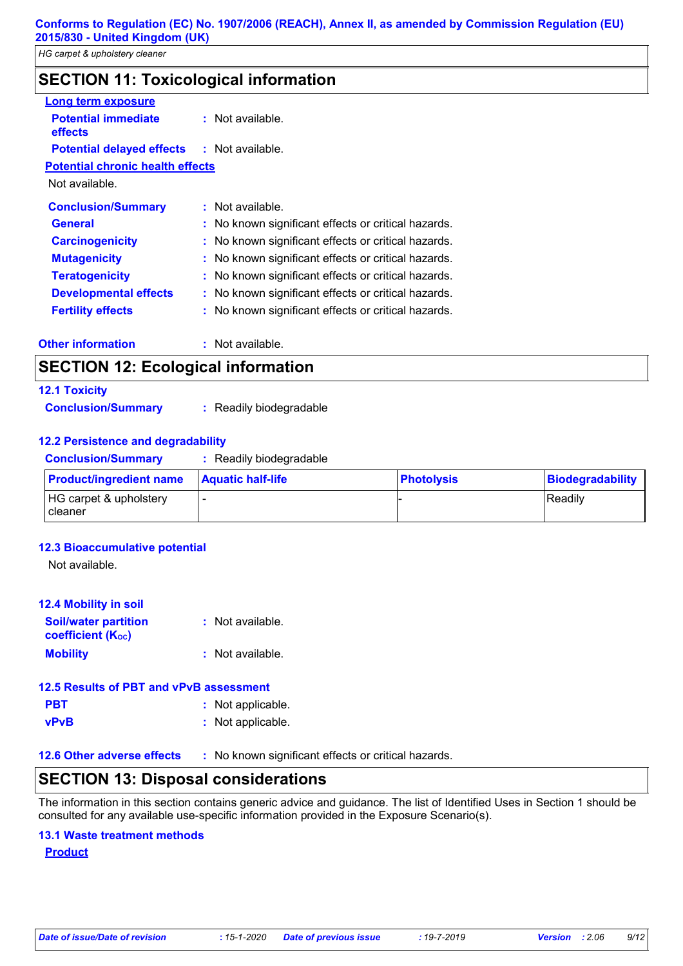# **SECTION 11: Toxicological information**

| <b>Long term exposure</b>               |                                                     |
|-----------------------------------------|-----------------------------------------------------|
| <b>Potential immediate</b><br>effects   | $:$ Not available.                                  |
| <b>Potential delayed effects</b>        | : Not available.                                    |
| <b>Potential chronic health effects</b> |                                                     |
| Not available.                          |                                                     |
| <b>Conclusion/Summary</b>               | : Not available.                                    |
| <b>General</b>                          | : No known significant effects or critical hazards. |
| <b>Carcinogenicity</b>                  | : No known significant effects or critical hazards. |
| <b>Mutagenicity</b>                     | : No known significant effects or critical hazards. |
| <b>Teratogenicity</b>                   | : No known significant effects or critical hazards. |
| <b>Developmental effects</b>            | : No known significant effects or critical hazards. |
| <b>Fertility effects</b>                | : No known significant effects or critical hazards. |
| <b>Other information</b>                | : Not available.                                    |

# **SECTION 12: Ecological information**

# **12.1 Toxicity**

**Conclusion/Summary :** Readily biodegradable

#### **12.2 Persistence and degradability**

**Conclusion/Summary :** Readily biodegradable

| <b>Product/ingredient name</b>            | <b>Aquatic half-life</b> | <b>Photolysis</b> | Biodegradability |
|-------------------------------------------|--------------------------|-------------------|------------------|
| HG carpet & upholstery<br><b>Tcleaner</b> |                          |                   | Readily          |

#### **12.3 Bioaccumulative potential**

Not available.

| <b>12.4 Mobility in soil</b>                            |                    |
|---------------------------------------------------------|--------------------|
| <b>Soil/water partition</b><br><b>coefficient (Koc)</b> | : Not available.   |
| <b>Mobility</b>                                         | $:$ Not available. |
| 12.5 Results of PBT and vPvB assessment                 |                    |
| PBT                                                     | : Not applicable.  |

|  | . <i>I</i> vot applicable |  |   |  |  |
|--|---------------------------|--|---|--|--|
|  |                           |  | . |  |  |

**vPvB :** Not applicable.

**12.6 Other adverse effects** : No known significant effects or critical hazards.

# **SECTION 13: Disposal considerations**

The information in this section contains generic advice and guidance. The list of Identified Uses in Section 1 should be consulted for any available use-specific information provided in the Exposure Scenario(s).

#### **13.1 Waste treatment methods**

**Product**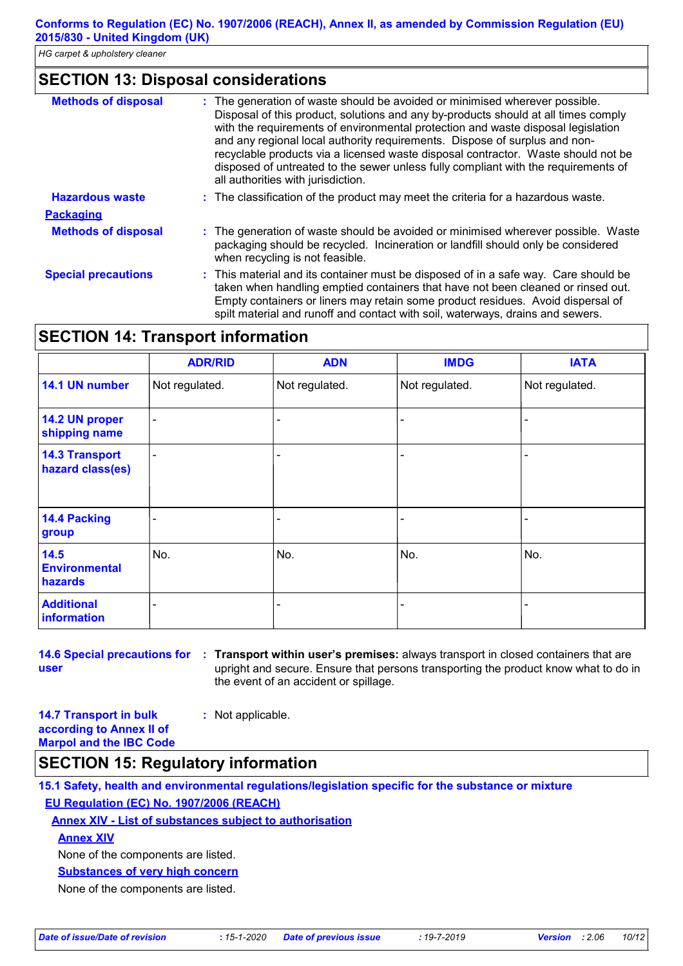### **SECTION 13: Disposal considerations**

| <b>Methods of disposal</b> | The generation of waste should be avoided or minimised wherever possible.<br>Disposal of this product, solutions and any by-products should at all times comply<br>with the requirements of environmental protection and waste disposal legislation<br>and any regional local authority requirements. Dispose of surplus and non-<br>recyclable products via a licensed waste disposal contractor. Waste should not be<br>disposed of untreated to the sewer unless fully compliant with the requirements of<br>all authorities with jurisdiction. |
|----------------------------|----------------------------------------------------------------------------------------------------------------------------------------------------------------------------------------------------------------------------------------------------------------------------------------------------------------------------------------------------------------------------------------------------------------------------------------------------------------------------------------------------------------------------------------------------|
| <b>Hazardous waste</b>     | : The classification of the product may meet the criteria for a hazardous waste.                                                                                                                                                                                                                                                                                                                                                                                                                                                                   |
| <b>Packaging</b>           |                                                                                                                                                                                                                                                                                                                                                                                                                                                                                                                                                    |
| <b>Methods of disposal</b> | : The generation of waste should be avoided or minimised wherever possible. Waste<br>packaging should be recycled. Incineration or landfill should only be considered<br>when recycling is not feasible.                                                                                                                                                                                                                                                                                                                                           |
| <b>Special precautions</b> | : This material and its container must be disposed of in a safe way. Care should be<br>taken when handling emptied containers that have not been cleaned or rinsed out.<br>Empty containers or liners may retain some product residues. Avoid dispersal of<br>spilt material and runoff and contact with soil, waterways, drains and sewers.                                                                                                                                                                                                       |

# **SECTION 14: Transport information**

|                                           | <b>ADR/RID</b> | <b>ADN</b>     | <b>IMDG</b>    | <b>IATA</b>    |
|-------------------------------------------|----------------|----------------|----------------|----------------|
| 14.1 UN number                            | Not regulated. | Not regulated. | Not regulated. | Not regulated. |
| 14.2 UN proper<br>shipping name           | ۰              |                |                |                |
| <b>14.3 Transport</b><br>hazard class(es) | -              |                |                |                |
| 14.4 Packing<br>group                     |                |                |                |                |
| 14.5<br><b>Environmental</b><br>hazards   | No.            | No.            | No.            | No.            |
| <b>Additional</b><br><b>information</b>   |                |                |                |                |

**14.6 Special precautions for : Transport within user's premises: always transport in closed containers that are user** upright and secure. Ensure that persons transporting the product know what to do in the event of an accident or spillage.

**14.7 Transport in bulk according to Annex II of Marpol and the IBC Code :** Not applicable.

# **SECTION 15: Regulatory information**

**15.1 Safety, health and environmental regulations/legislation specific for the substance or mixture EU Regulation (EC) No. 1907/2006 (REACH)**

#### **Annex XIV - List of substances subject to authorisation**

**Annex XIV**

None of the components are listed.

**Substances of very high concern**

None of the components are listed.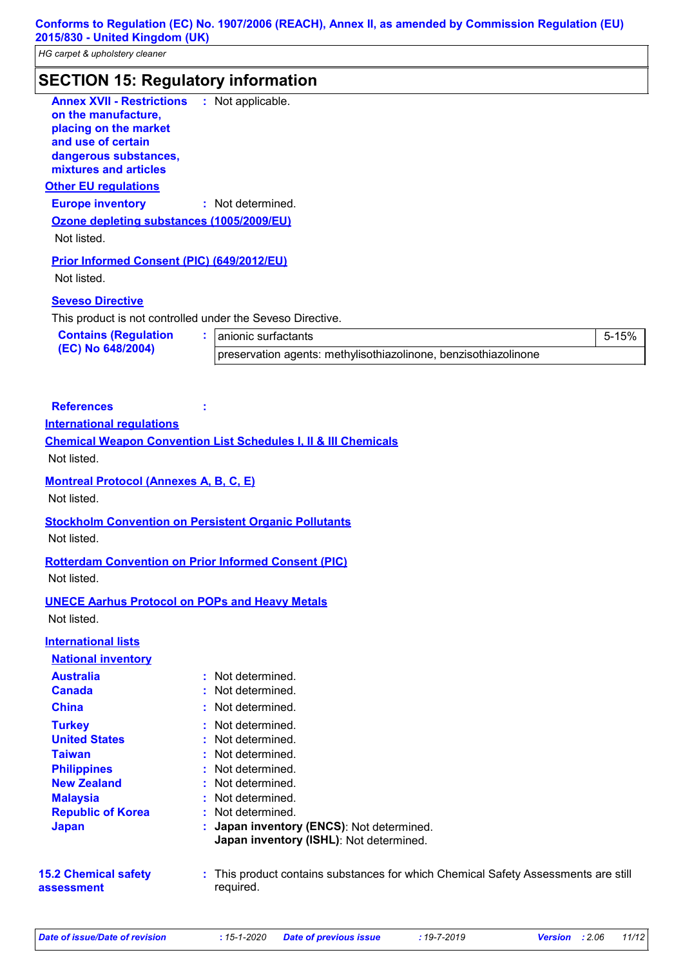*HG carpet & upholstery cleaner*

| <b>SECTION 15: Regulatory information</b>                                                                                                                |                                                                            |       |
|----------------------------------------------------------------------------------------------------------------------------------------------------------|----------------------------------------------------------------------------|-------|
| <b>Annex XVII - Restrictions</b><br>on the manufacture,<br>placing on the market<br>and use of certain<br>dangerous substances,<br>mixtures and articles | : Not applicable.                                                          |       |
| <b>Other EU regulations</b>                                                                                                                              |                                                                            |       |
| <b>Europe inventory</b>                                                                                                                                  | : Not determined.                                                          |       |
| Ozone depleting substances (1005/2009/EU)                                                                                                                |                                                                            |       |
| Not listed.                                                                                                                                              |                                                                            |       |
| <b>Prior Informed Consent (PIC) (649/2012/EU)</b>                                                                                                        |                                                                            |       |
| Not listed.                                                                                                                                              |                                                                            |       |
| <b>Seveso Directive</b>                                                                                                                                  |                                                                            |       |
|                                                                                                                                                          | This product is not controlled under the Seveso Directive.                 |       |
| <b>Contains (Regulation</b>                                                                                                                              | ÷.<br>anionic surfactants                                                  | 5-15% |
| (EC) No 648/2004)                                                                                                                                        | preservation agents: methylisothiazolinone, benzisothiazolinone            |       |
| <b>International regulations</b><br>Not listed.                                                                                                          | <b>Chemical Weapon Convention List Schedules I, II &amp; III Chemicals</b> |       |
| <b>Montreal Protocol (Annexes A, B, C, E)</b><br>Not listed.                                                                                             |                                                                            |       |
| Not listed.                                                                                                                                              | <b>Stockholm Convention on Persistent Organic Pollutants</b>               |       |
| Not listed.                                                                                                                                              | <b>Rotterdam Convention on Prior Informed Consent (PIC)</b>                |       |
| <b>UNECE Aarhus Protocol on POPs and Heavy Metals</b><br>Not listed.                                                                                     |                                                                            |       |
| <b>International lists</b>                                                                                                                               |                                                                            |       |
| <b>National inventory</b><br><b>Australia</b><br><b>Canada</b>                                                                                           | Not determined.<br>٠.<br>Not determined.                                   |       |
|                                                                                                                                                          |                                                                            |       |

| <b>China</b>         | : Not determined. |
|----------------------|-------------------|
| <b>Turkey</b>        | : Not determined. |
| <b>United States</b> | : Not determined. |
| <b>Taiwan</b>        | : Not determined. |
| <b>Philippines</b>   | : Not determined. |

**Japan : Japan inventory (ENCS)**: Not determined. **Japan inventory (ISHL)**: Not determined. **Republic of Korea :** Not determined. **Malaysia :** Not determined. **New Zealand :** Not determined. **Philippines :** Not determined.

**15.2 Chemical safety assessment** This product contains substances for which Chemical Safety Assessments are still **:** required.